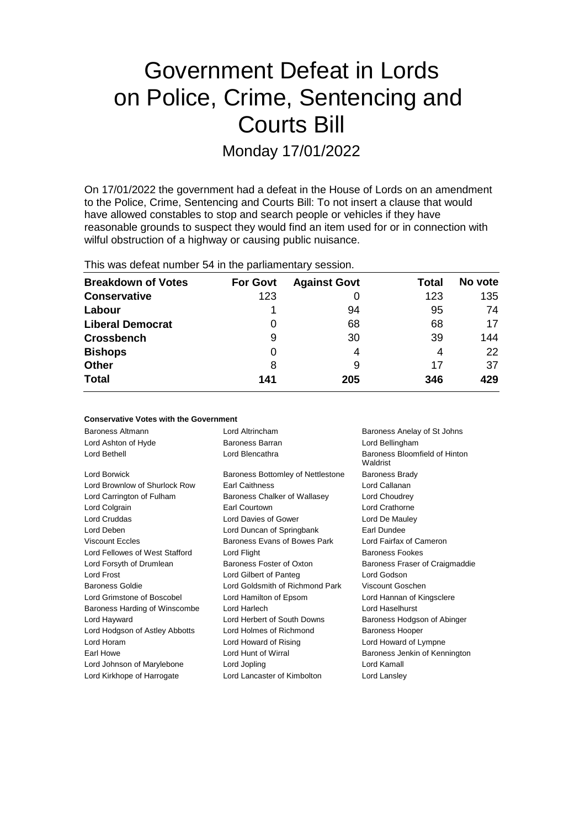# Government Defeat in Lords on Police, Crime, Sentencing and Courts Bill

Monday 17/01/2022

On 17/01/2022 the government had a defeat in the House of Lords on an amendment to the Police, Crime, Sentencing and Courts Bill: To not insert a clause that would have allowed constables to stop and search people or vehicles if they have reasonable grounds to suspect they would find an item used for or in connection with wilful obstruction of a highway or causing public nuisance.

This was defeat number 54 in the parliamentary session.

| <b>Breakdown of Votes</b> | <b>For Govt</b> | <b>Against Govt</b> | Total | No vote |
|---------------------------|-----------------|---------------------|-------|---------|
| <b>Conservative</b>       | 123             |                     | 123   | 135     |
| Labour                    |                 | 94                  | 95    | 74      |
| <b>Liberal Democrat</b>   | O               | 68                  | 68    | 17      |
| <b>Crossbench</b>         | 9               | 30                  | 39    | 144     |
| <b>Bishops</b>            | 0               | 4                   | 4     | 22      |
| <b>Other</b>              | 8               | 9                   | 17    | 37      |
| <b>Total</b>              | 141             | 205                 | 346   | 429     |

| <b>Conservative Votes with the Government</b> |  |  |  |  |  |
|-----------------------------------------------|--|--|--|--|--|
|-----------------------------------------------|--|--|--|--|--|

| Baroness Altmann               | Lord Altrincham                   | Baroness Anelay of St Johns               |
|--------------------------------|-----------------------------------|-------------------------------------------|
| Lord Ashton of Hyde            | Baroness Barran                   | Lord Bellingham                           |
| Lord Bethell                   | Lord Blencathra                   | Baroness Bloomfield of Hinton<br>Waldrist |
| Lord Borwick                   | Baroness Bottomley of Nettlestone | <b>Baroness Brady</b>                     |
| Lord Brownlow of Shurlock Row  | <b>Earl Caithness</b>             | Lord Callanan                             |
| Lord Carrington of Fulham      | Baroness Chalker of Wallasey      | Lord Choudrey                             |
| Lord Colgrain                  | Earl Courtown                     | Lord Crathorne                            |
| Lord Cruddas                   | Lord Davies of Gower              | Lord De Mauley                            |
| Lord Deben                     | Lord Duncan of Springbank         | Earl Dundee                               |
| <b>Viscount Eccles</b>         | Baroness Evans of Bowes Park      | Lord Fairfax of Cameron                   |
| Lord Fellowes of West Stafford | Lord Flight                       | <b>Baroness Fookes</b>                    |
| Lord Forsyth of Drumlean       | Baroness Foster of Oxton          | Baroness Fraser of Craigmaddie            |
| Lord Frost                     | Lord Gilbert of Panteg            | Lord Godson                               |
| <b>Baroness Goldie</b>         | Lord Goldsmith of Richmond Park   | Viscount Goschen                          |
| Lord Grimstone of Boscobel     | Lord Hamilton of Epsom            | Lord Hannan of Kingsclere                 |
| Baroness Harding of Winscombe  | Lord Harlech                      | Lord Haselhurst                           |
| Lord Hayward                   | Lord Herbert of South Downs       | Baroness Hodgson of Abinger               |
| Lord Hodgson of Astley Abbotts | Lord Holmes of Richmond           | <b>Baroness Hooper</b>                    |
| Lord Horam                     | Lord Howard of Rising             | Lord Howard of Lympne                     |
| Earl Howe                      | Lord Hunt of Wirral               | Baroness Jenkin of Kennington             |
| Lord Johnson of Marylebone     | Lord Jopling                      | Lord Kamall                               |
| Lord Kirkhope of Harrogate     | Lord Lancaster of Kimbolton       | Lord Lansley                              |
|                                |                                   |                                           |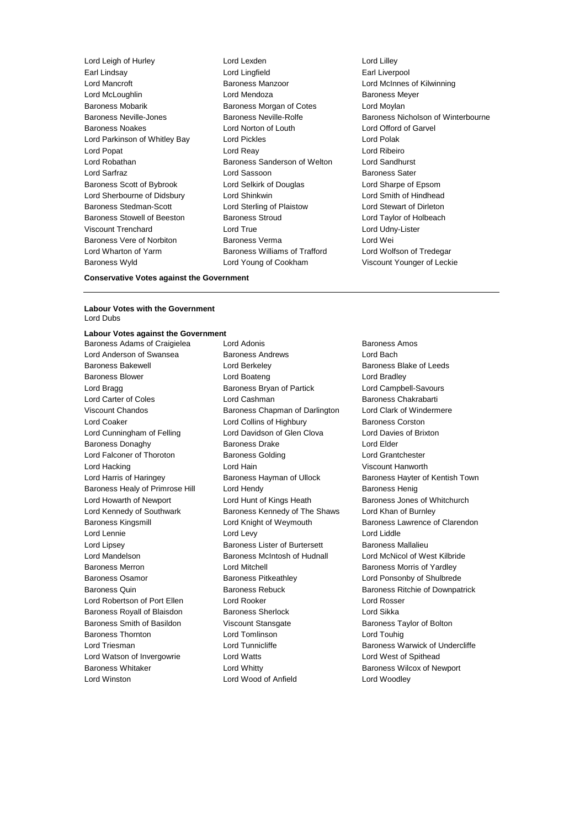Lord Leigh of Hurley Lord Lexden Lord Lilley Earl Lindsay **Earl Lingfield** Earl Liverpool<br>
Lord Mancroft **Earl Liverpool**<br>
Baroness Manzoor **Earl Lord McInnes** Lord Mancroft Baroness Manzoor Lord McInnes of Kilwinning Lord McLoughlin Lord Mendoza Baroness Meyer Baroness Mobarik **Baroness Morgan of Cotes** Lord Moylan<br>Baroness Neville-Jones **Baroness Neville-Rolfe** Baroness Ni Baroness Noakes Lord Norton of Louth Lord Offord of Garvel Lord Parkinson of Whitley Bay **Lord Pickles Lord Polak** Lord Popat Lord Reay Lord Ribeiro Lord Robathan Baroness Sanderson of Welton Lord Sandhurst Lord Sarfraz Lord Sassoon Baroness Sater Baroness Scott of Bybrook Lord Selkirk of Douglas Lord Sharpe of Epsom Lord Sherbourne of Didsbury Lord Shinkwin Lord Smith of Hindhead Baroness Stedman-Scott Lord Sterling of Plaistow Lord Stewart of Dirleton Baroness Stowell of Beeston Baroness Stroud Lord Taylor of Holbeach Viscount Trenchard Lord True Lord Udny-Lister Baroness Vere of Norbiton Baroness Verma Lord Wei Lord Wharton of Yarm **Baroness Williams of Trafford** Lord Wolfson of Tredegar Baroness Wyld Lord Young of Cookham Viscount Younger of Leckie

Baroness Neville-Jones **Baroness Neville-Rolfe** Baroness Nicholson of Winterbourne

#### **Conservative Votes against the Government**

**Labour Votes with the Government** Lord Dubs

### **Labour Votes against the Government**<br>Baroness Adams of Craigielea **Lord Adonis**

Lord Anderson of Swansea Baroness Andrews Baroness Andrews Lord Bach Baroness Bakewell **Baroness Bakewell** Lord Berkeley **Baroness Bake of Leeds** Baroness Blower **Lord Boateng** Construction Construction Construction Construction Construction Construction Const Lord Bragg **Baroness Bryan of Partick** Lord Campbell-Savours Lord Carter of Coles Lord Cashman Baroness Chakrabarti Viscount Chandos **Baroness Chapman of Darlington** Lord Clark of Windermere Lord Coaker **Lord Collins of Highbury** Baroness Corston Lord Cunningham of Felling Lord Davidson of Glen Clova Lord Davies of Brixton Baroness Donaghy **Baroness Drake** Lord Elder Lord Falconer of Thoroton Baroness Golding Lord Grantchester Lord Hacking Lord Hain Viscount Hanworth Lord Harris of Haringey **Baroness Hayman of Ullock** Baroness Hayter of Kentish Town Baroness Healy of Primrose Hill Lord Hendy Contract Report Baroness Henig Lord Howarth of Newport Lord Hunt of Kings Heath Baroness Jones of Whitchurch Lord Kennedy of Southwark Baroness Kennedy of The Shaws Lord Khan of Burnley Baroness Kingsmill Lord Knight of Weymouth Baroness Lawrence of Clarendon Lord Lennie **Lord Levy** Lord Levy **Lord Lord Lord Liddle** Lord Lipsey Baroness Lister of Burtersett Baroness Mallalieu Lord Mandelson Baroness McIntosh of Hudnall Lord McNicol of West Kilbride Baroness Merron **Baroness Morris of Yardley** Lord Mitchell **Baroness Morris of Yardley** Baroness Osamor Baroness Pitkeathley Lord Ponsonby of Shulbrede Baroness Quin **Baroness Rebuck** Baroness Rebuck Baroness Ritchie of Downpatrick Lord Robertson of Port Ellen Lord Rooker Lord Rosser Baroness Royall of Blaisdon Baroness Sherlock Lord Sikka Baroness Smith of Basildon Viscount Stansgate Baroness Taylor of Bolton Baroness Thornton Lord Tomlinson Lord Touhig Lord Triesman **Lord Tunnicliffe Baroness Warwick of Undercliffe Baroness Warwick of Undercliffe** Lord Watson of Invergowrie **Lord Watts** Lord West of Spithead Baroness Whitaker **Lord Whitty Lord Whitty** Baroness Wilcox of Newport Lord Winston Lord Wood of Anfield Lord Woodley

Baroness Adams of Craigielea Lord Adonis **Baroness Amos** Baroness Amos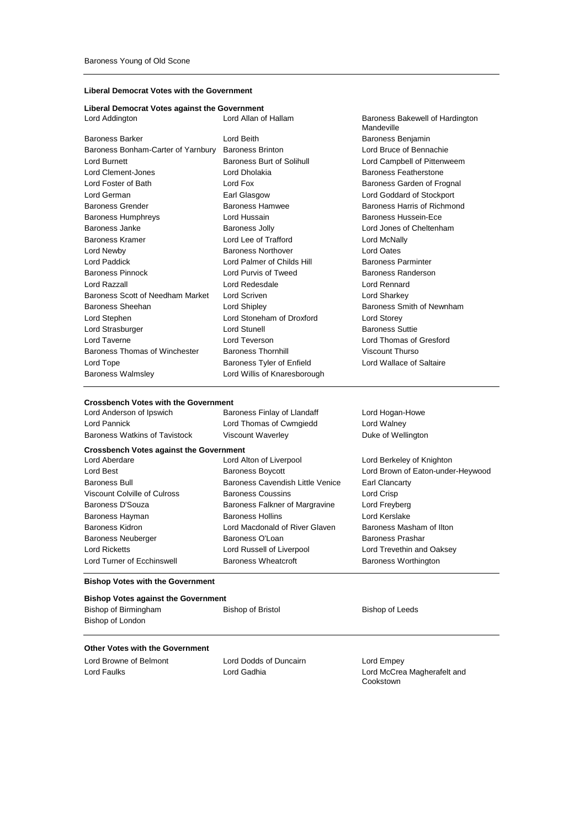#### **Liberal Democrat Votes with the Government**

### **Liberal Democrat Votes against the Government**

| Lord Addington                     | Lord Allan of Hallam         | Baroness Bakewell of Hardington<br>Mandeville |
|------------------------------------|------------------------------|-----------------------------------------------|
| <b>Baroness Barker</b>             | Lord Beith                   | Baroness Benjamin                             |
| Baroness Bonham-Carter of Yarnbury | <b>Baroness Brinton</b>      | Lord Bruce of Bennachie                       |
| Lord Burnett                       | Baroness Burt of Solihull    | Lord Campbell of Pittenweem                   |
| Lord Clement-Jones                 | Lord Dholakia                | Baroness Featherstone                         |
| Lord Foster of Bath                | Lord Fox                     | Baroness Garden of Frognal                    |
| Lord German                        | Earl Glasgow                 | Lord Goddard of Stockport                     |
| <b>Baroness Grender</b>            | <b>Baroness Hamwee</b>       | Baroness Harris of Richmond                   |
| <b>Baroness Humphreys</b>          | Lord Hussain                 | Baroness Hussein-Ece                          |
| Baroness Janke                     | <b>Baroness Jolly</b>        | Lord Jones of Cheltenham                      |
| Baroness Kramer                    | Lord Lee of Trafford         | Lord McNally                                  |
| Lord Newby                         | <b>Baroness Northover</b>    | <b>Lord Oates</b>                             |
| Lord Paddick                       | Lord Palmer of Childs Hill   | <b>Baroness Parminter</b>                     |
| <b>Baroness Pinnock</b>            | Lord Purvis of Tweed         | Baroness Randerson                            |
| Lord Razzall                       | Lord Redesdale               | Lord Rennard                                  |
| Baroness Scott of Needham Market   | Lord Scriven                 | Lord Sharkey                                  |
| Baroness Sheehan                   | Lord Shipley                 | Baroness Smith of Newnham                     |
| Lord Stephen                       | Lord Stoneham of Droxford    | Lord Storey                                   |
| Lord Strasburger                   | <b>Lord Stunell</b>          | <b>Baroness Suttie</b>                        |
| Lord Taverne                       | Lord Teverson                | Lord Thomas of Gresford                       |
| Baroness Thomas of Winchester      | <b>Baroness Thornhill</b>    | Viscount Thurso                               |
| Lord Tope                          | Baroness Tyler of Enfield    | Lord Wallace of Saltaire                      |
| <b>Baroness Walmsley</b>           | Lord Willis of Knaresborough |                                               |

#### **Crossbench Votes with the Government**

| Lord Anderson of Ipswich                       | Baroness Finlay of Llandaff      | Lord Hogan-Howe                   |
|------------------------------------------------|----------------------------------|-----------------------------------|
| Lord Pannick                                   | Lord Thomas of Cwmgiedd          | Lord Walney                       |
| <b>Baroness Watkins of Tavistock</b>           | Viscount Waverley                | Duke of Wellington                |
| <b>Crossbench Votes against the Government</b> |                                  |                                   |
| Lord Aberdare                                  | Lord Alton of Liverpool          | Lord Berkeley of Knighton         |
| Lord Best                                      | <b>Baroness Boycott</b>          | Lord Brown of Eaton-under-Heywood |
| Baroness Bull                                  | Baroness Cavendish Little Venice | <b>Earl Clancarty</b>             |
| Viscount Colville of Culross                   | Baroness Coussins                | Lord Crisp                        |
| Baroness D'Souza                               | Baroness Falkner of Margravine   | Lord Freyberg                     |
| Baroness Hayman                                | <b>Baroness Hollins</b>          | Lord Kerslake                     |
| <b>Baroness Kidron</b>                         | Lord Macdonald of River Glaven   | Baroness Masham of Ilton          |
| <b>Baroness Neuberger</b>                      | Baroness O'Loan                  | <b>Baroness Prashar</b>           |
| <b>Lord Ricketts</b>                           | Lord Russell of Liverpool        | Lord Trevethin and Oaksey         |
| Lord Turner of Ecchinswell                     | <b>Baroness Wheatcroft</b>       | <b>Baroness Worthington</b>       |

#### **Bishop Votes with the Government**

#### **Bishop Votes against the Government**

| Bishop of Birmingham | <b>Bishop of Bristol</b> | Bishop of Leeds |
|----------------------|--------------------------|-----------------|
|                      |                          |                 |

#### **Other Votes with the Government**

Lord Browne of Belmont Lord Dodds of Duncairn Lord Empey

Bishop of London

Lord Faulks Lord Gadhia Lord McCrea Magherafelt and Cookstown